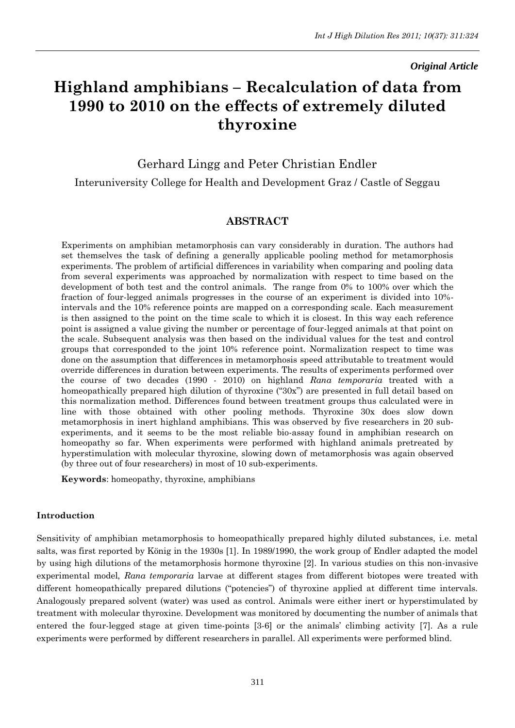*Original Article*

# **Highland amphibians – Recalculation of data from 1990 to 2010 on the effects of extremely diluted thyroxine**

Gerhard Lingg and Peter Christian Endler

Interuniversity College for Health and Development Graz / Castle of Seggau

### **ABSTRACT**

Experiments on amphibian metamorphosis can vary considerably in duration. The authors had set themselves the task of defining a generally applicable pooling method for metamorphosis experiments. The problem of artificial differences in variability when comparing and pooling data from several experiments was approached by normalization with respect to time based on the development of both test and the control animals. The range from 0% to 100% over which the fraction of four-legged animals progresses in the course of an experiment is divided into 10% intervals and the 10% reference points are mapped on a corresponding scale. Each measurement is then assigned to the point on the time scale to which it is closest. In this way each reference point is assigned a value giving the number or percentage of four-legged animals at that point on the scale. Subsequent analysis was then based on the individual values for the test and control groups that corresponded to the joint 10% reference point. Normalization respect to time was done on the assumption that differences in metamorphosis speed attributable to treatment would override differences in duration between experiments. The results of experiments performed over the course of two decades (1990 - 2010) on highland *Rana temporaria* treated with a homeopathically prepared high dilution of thyroxine ("30x") are presented in full detail based on this normalization method. Differences found between treatment groups thus calculated were in line with those obtained with other pooling methods. Thyroxine 30x does slow down metamorphosis in inert highland amphibians. This was observed by five researchers in 20 subexperiments, and it seems to be the most reliable bio-assay found in amphibian research on homeopathy so far. When experiments were performed with highland animals pretreated by hyperstimulation with molecular thyroxine, slowing down of metamorphosis was again observed (by three out of four researchers) in most of 10 sub-experiments.

**Keywords**: homeopathy, thyroxine, amphibians

#### **Introduction**

Sensitivity of amphibian metamorphosis to homeopathically prepared highly diluted substances, i.e. metal salts, was first reported by König in the 1930s [1]. In 1989/1990, the work group of Endler adapted the model by using high dilutions of the metamorphosis hormone thyroxine [2]. In various studies on this non-invasive experimental model, *Rana temporaria* larvae at different stages from different biotopes were treated with different homeopathically prepared dilutions ("potencies") of thyroxine applied at different time intervals. Analogously prepared solvent (water) was used as control. Animals were either inert or hyperstimulated by treatment with molecular thyroxine. Development was monitored by documenting the number of animals that entered the four-legged stage at given time-points [3-6] or the animals" climbing activity [7]. As a rule experiments were performed by different researchers in parallel. All experiments were performed blind.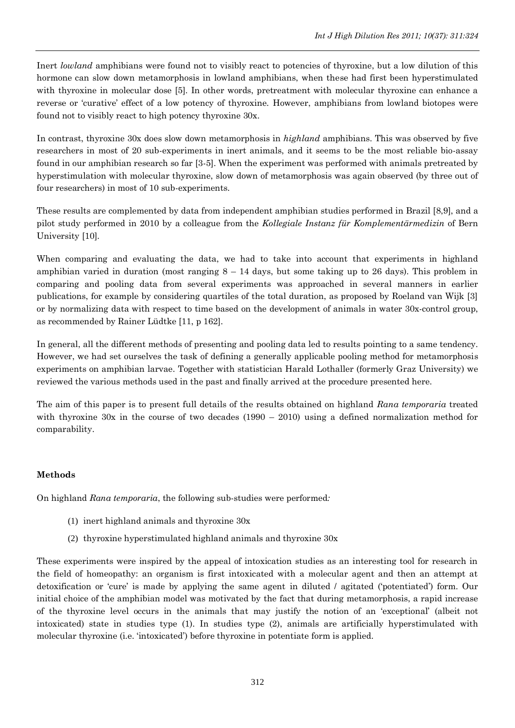Inert *lowland* amphibians were found not to visibly react to potencies of thyroxine, but a low dilution of this hormone can slow down metamorphosis in lowland amphibians, when these had first been hyperstimulated with thyroxine in molecular dose [5]. In other words, pretreatment with molecular thyroxine can enhance a reverse or "curative" effect of a low potency of thyroxine*.* However, amphibians from lowland biotopes were found not to visibly react to high potency thyroxine 30x.

In contrast, thyroxine 30x does slow down metamorphosis in *highland* amphibians. This was observed by five researchers in most of 20 sub-experiments in inert animals, and it seems to be the most reliable bio-assay found in our amphibian research so far [3-5]. When the experiment was performed with animals pretreated by hyperstimulation with molecular thyroxine, slow down of metamorphosis was again observed (by three out of four researchers) in most of 10 sub-experiments.

These results are complemented by data from independent amphibian studies performed in Brazil [8,9], and a pilot study performed in 2010 by a colleague from the *Kollegiale Instanz für Komplementärmedizin* of Bern University [10].

When comparing and evaluating the data, we had to take into account that experiments in highland amphibian varied in duration (most ranging  $8 - 14$  days, but some taking up to 26 days). This problem in comparing and pooling data from several experiments was approached in several manners in earlier publications, for example by considering quartiles of the total duration, as proposed by Roeland van Wijk [3] or by normalizing data with respect to time based on the development of animals in water 30x-control group, as recommended by Rainer Lüdtke [11, p 162].

In general, all the different methods of presenting and pooling data led to results pointing to a same tendency. However, we had set ourselves the task of defining a generally applicable pooling method for metamorphosis experiments on amphibian larvae. Together with statistician Harald Lothaller (formerly Graz University) we reviewed the various methods used in the past and finally arrived at the procedure presented here.

The aim of this paper is to present full details of the results obtained on highland *Rana temporaria* treated with thyroxine 30x in the course of two decades (1990 – 2010) using a defined normalization method for comparability.

### **Methods**

On highland *Rana temporaria*, the following sub-studies were performed*:*

- (1) inert highland animals and thyroxine 30x
- (2) thyroxine hyperstimulated highland animals and thyroxine 30x

These experiments were inspired by the appeal of intoxication studies as an interesting tool for research in the field of homeopathy: an organism is first intoxicated with a molecular agent and then an attempt at detoxification or "cure" is made by applying the same agent in diluted / agitated ("potentiated") form. Our initial choice of the amphibian model was motivated by the fact that during metamorphosis, a rapid increase of the thyroxine level occurs in the animals that may justify the notion of an "exceptional" (albeit not intoxicated) state in studies type (1). In studies type (2), animals are artificially hyperstimulated with molecular thyroxine (i.e. "intoxicated") before thyroxine in potentiate form is applied.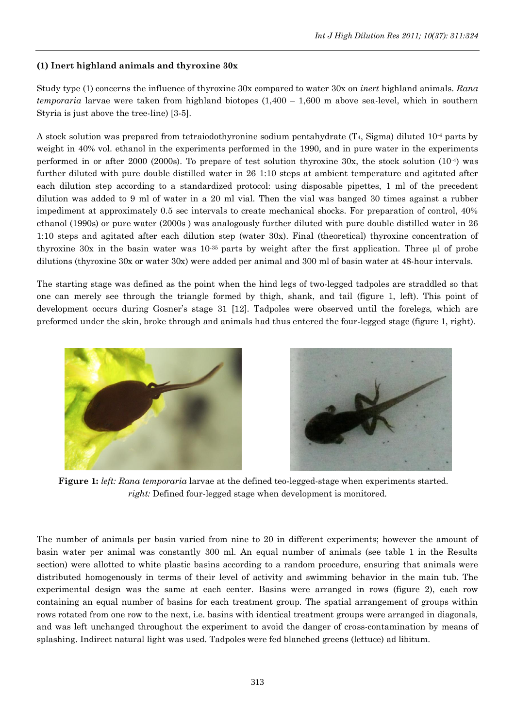## **(1) Inert highland animals and thyroxine 30x**

Study type (1) concerns the influence of thyroxine 30x compared to water 30x on *inert* highland animals. *Rana temporaria* larvae were taken from highland biotopes (1,400 – 1,600 m above sea-level, which in southern Styria is just above the tree-line) [3-5].

A stock solution was prepared from tetraiodothyronine sodium pentahydrate  $(T_4, Sigma)$  diluted 10<sup>-4</sup> parts by weight in 40% vol. ethanol in the experiments performed in the 1990, and in pure water in the experiments performed in or after 2000 (2000s). To prepare of test solution thyroxine 30x, the stock solution (10-4) was further diluted with pure double distilled water in 26 1:10 steps at ambient temperature and agitated after each dilution step according to a standardized protocol: using disposable pipettes, 1 ml of the precedent dilution was added to 9 ml of water in a 20 ml vial. Then the vial was banged 30 times against a rubber impediment at approximately 0.5 sec intervals to create mechanical shocks. For preparation of control, 40% ethanol (1990s) or pure water (2000s ) was analogously further diluted with pure double distilled water in 26 1:10 steps and agitated after each dilution step (water 30x). Final (theoretical) thyroxine concentration of thyroxine 30x in the basin water was  $10^{-35}$  parts by weight after the first application. Three µl of probe dilutions (thyroxine 30x or water 30x) were added per animal and 300 ml of basin water at 48-hour intervals.

The starting stage was defined as the point when the hind legs of two-legged tadpoles are straddled so that one can merely see through the triangle formed by thigh, shank, and tail (figure 1, left). This point of development occurs during Gosner"s stage 31 [12]. Tadpoles were observed until the forelegs, which are preformed under the skin, broke through and animals had thus entered the four-legged stage (figure 1, right).





**Figure 1:** *left: Rana temporaria* larvae at the defined teo-legged-stage when experiments started. *right:* Defined four-legged stage when development is monitored.

The number of animals per basin varied from nine to 20 in different experiments; however the amount of basin water per animal was constantly 300 ml. An equal number of animals (see table 1 in the Results section) were allotted to white plastic basins according to a random procedure, ensuring that animals were distributed homogenously in terms of their level of activity and swimming behavior in the main tub. The experimental design was the same at each center. Basins were arranged in rows (figure 2), each row containing an equal number of basins for each treatment group. The spatial arrangement of groups within rows rotated from one row to the next, i.e. basins with identical treatment groups were arranged in diagonals, and was left unchanged throughout the experiment to avoid the danger of cross-contamination by means of splashing. Indirect natural light was used. Tadpoles were fed blanched greens (lettuce) ad libitum.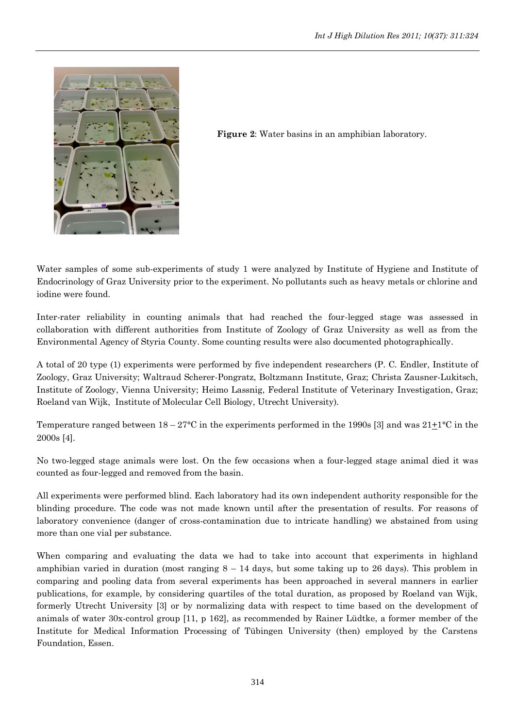

**Figure 2**: Water basins in an amphibian laboratory.

Water samples of some sub-experiments of study 1 were analyzed by Institute of Hygiene and Institute of Endocrinology of Graz University prior to the experiment. No pollutants such as heavy metals or chlorine and iodine were found.

Inter-rater reliability in counting animals that had reached the four-legged stage was assessed in collaboration with different authorities from Institute of Zoology of Graz University as well as from the Environmental Agency of Styria County. Some counting results were also documented photographically.

A total of 20 type (1) experiments were performed by five independent researchers (P. C. Endler, Institute of Zoology, Graz University; Waltraud Scherer-Pongratz, Boltzmann Institute, Graz; Christa Zausner-Lukitsch, Institute of Zoology, Vienna University; Heimo Lassnig, Federal Institute of Veterinary Investigation, Graz; Roeland van Wijk, Institute of Molecular Cell Biology, Utrecht University).

Temperature ranged between  $18-27$ °C in the experiments performed in the 1990s [3] and was  $21+1$ °C in the 2000s [4].

No two-legged stage animals were lost. On the few occasions when a four-legged stage animal died it was counted as four-legged and removed from the basin.

All experiments were performed blind. Each laboratory had its own independent authority responsible for the blinding procedure. The code was not made known until after the presentation of results. For reasons of laboratory convenience (danger of cross-contamination due to intricate handling) we abstained from using more than one vial per substance.

When comparing and evaluating the data we had to take into account that experiments in highland amphibian varied in duration (most ranging  $8 - 14$  days, but some taking up to 26 days). This problem in comparing and pooling data from several experiments has been approached in several manners in earlier publications, for example, by considering quartiles of the total duration, as proposed by Roeland van Wijk, formerly Utrecht University [3] or by normalizing data with respect to time based on the development of animals of water 30x-control group [11, p 162], as recommended by Rainer Lüdtke, a former member of the Institute for Medical Information Processing of Tübingen University (then) employed by the Carstens Foundation, Essen.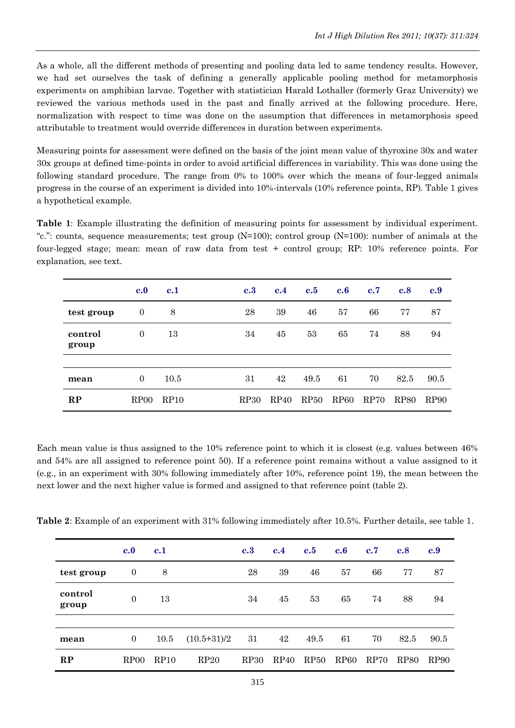As a whole, all the different methods of presenting and pooling data led to same tendency results. However, we had set ourselves the task of defining a generally applicable pooling method for metamorphosis experiments on amphibian larvae. Together with statistician Harald Lothaller (formerly Graz University) we reviewed the various methods used in the past and finally arrived at the following procedure. Here, normalization with respect to time was done on the assumption that differences in metamorphosis speed attributable to treatment would override differences in duration between experiments.

Measuring points for assessment were defined on the basis of the joint mean value of thyroxine 30x and water 30x groups at defined time-points in order to avoid artificial differences in variability. This was done using the following standard procedure. The range from 0% to 100% over which the means of four-legged animals progress in the course of an experiment is divided into 10%-intervals (10% reference points, RP). Table 1 gives a hypothetical example.

**Table 1**: Example illustrating the definition of measuring points for assessment by individual experiment. "c.": counts, sequence measurements; test group (N=100); control group (N=100): number of animals at the four-legged stage; mean: mean of raw data from test + control group; RP: 10% reference points. For explanation, see text.

|                  | $\bf c.0$        | c.1  | c.3              | c.4  | c.5  | c.6              | c.7  | c.8              | c.9              |
|------------------|------------------|------|------------------|------|------|------------------|------|------------------|------------------|
| test group       | $\mathbf{0}$     | 8    | 28               | 39   | 46   | 57               | 66   | 77               | 87               |
| control<br>group | $\overline{0}$   | 13   | 34               | 45   | 53   | 65               | 74   | 88               | 94               |
|                  |                  |      |                  |      |      |                  |      |                  |                  |
| mean             | $\overline{0}$   | 10.5 | 31               | 42   | 49.5 | 61               | 70   | 82.5             | 90.5             |
| RP               | RP <sub>00</sub> | RP10 | RP <sub>30</sub> | RP40 | RP50 | RP <sub>60</sub> | RP70 | RP <sub>80</sub> | RP <sub>90</sub> |

Each mean value is thus assigned to the 10% reference point to which it is closest (e.g. values between 46% and 54% are all assigned to reference point 50). If a reference point remains without a value assigned to it (e.g., in an experiment with 30% following immediately after 10%, reference point 19), the mean between the next lower and the next higher value is formed and assigned to that reference point (table 2).

|                  | c.0              | c.1  |               | c.3         | c.4  | c.5  | c.6              | c.7  | c.8         | c.9              |
|------------------|------------------|------|---------------|-------------|------|------|------------------|------|-------------|------------------|
| test group       | $\mathbf{0}$     | 8    |               | 28          | 39   | 46   | 57               | 66   | 77          | 87               |
| control<br>group | $\Omega$         | 13   |               | 34          | 45   | 53   | 65               | 74   | 88          | 94               |
|                  |                  |      |               |             |      |      |                  |      |             |                  |
| mean             | $\overline{0}$   | 10.5 | $(10.5+31)/2$ | 31          | 42   | 49.5 | 61               | 70   | 82.5        | 90.5             |
| RP               | RP <sub>00</sub> | RP10 | RP20          | <b>RP30</b> | RP40 | RP50 | RP <sub>60</sub> | RP70 | <b>RP80</b> | RP <sub>90</sub> |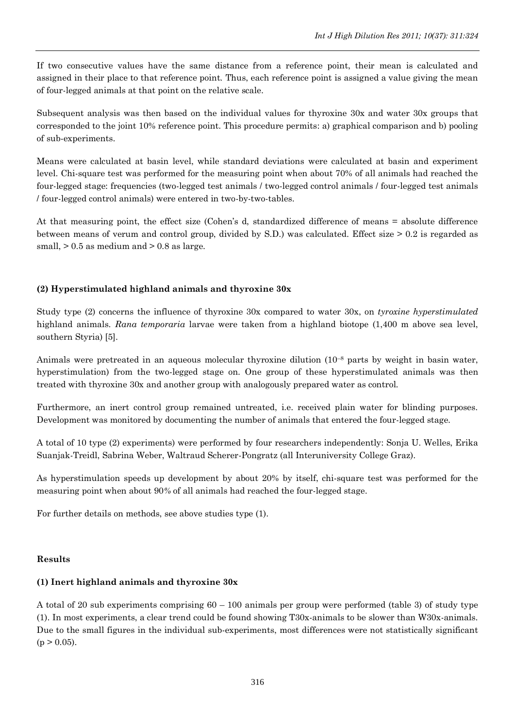If two consecutive values have the same distance from a reference point, their mean is calculated and assigned in their place to that reference point. Thus, each reference point is assigned a value giving the mean of four-legged animals at that point on the relative scale.

Subsequent analysis was then based on the individual values for thyroxine 30x and water 30x groups that corresponded to the joint 10% reference point. This procedure permits: a) graphical comparison and b) pooling of sub-experiments.

Means were calculated at basin level, while standard deviations were calculated at basin and experiment level. Chi-square test was performed for the measuring point when about 70% of all animals had reached the four-legged stage: frequencies (two-legged test animals / two-legged control animals / four-legged test animals / four-legged control animals) were entered in two-by-two-tables.

At that measuring point, the effect size (Cohen"s d, standardized difference of means = absolute difference between means of verum and control group, divided by S.D.) was calculated. Effect size > 0.2 is regarded as small,  $> 0.5$  as medium and  $> 0.8$  as large.

# **(2) Hyperstimulated highland animals and thyroxine 30x**

Study type (2) concerns the influence of thyroxine 30x compared to water 30x, on *tyroxine hyperstimulated*  highland animals. *Rana temporaria* larvae were taken from a highland biotope (1,400 m above sea level, southern Styria) [5].

Animals were pretreated in an aqueous molecular thyroxine dilution (10–<sup>8</sup> parts by weight in basin water, hyperstimulation) from the two-legged stage on. One group of these hyperstimulated animals was then treated with thyroxine 30x and another group with analogously prepared water as control.

Furthermore, an inert control group remained untreated, i.e. received plain water for blinding purposes. Development was monitored by documenting the number of animals that entered the four-legged stage.

A total of 10 type (2) experiments) were performed by four researchers independently: Sonja U. Welles, Erika Suanjak-Treidl, Sabrina Weber, Waltraud Scherer-Pongratz (all Interuniversity College Graz).

As hyperstimulation speeds up development by about 20% by itself, chi-square test was performed for the measuring point when about 90*%* of all animals had reached the four-legged stage.

For further details on methods, see above studies type (1).

### **Results**

### **(1) Inert highland animals and thyroxine 30x**

A total of 20 sub experiments comprising 60 – 100 animals per group were performed (table 3) of study type (1). In most experiments, a clear trend could be found showing T30x-animals to be slower than W30x-animals. Due to the small figures in the individual sub-experiments, most differences were not statistically significant  $(p > 0.05)$ .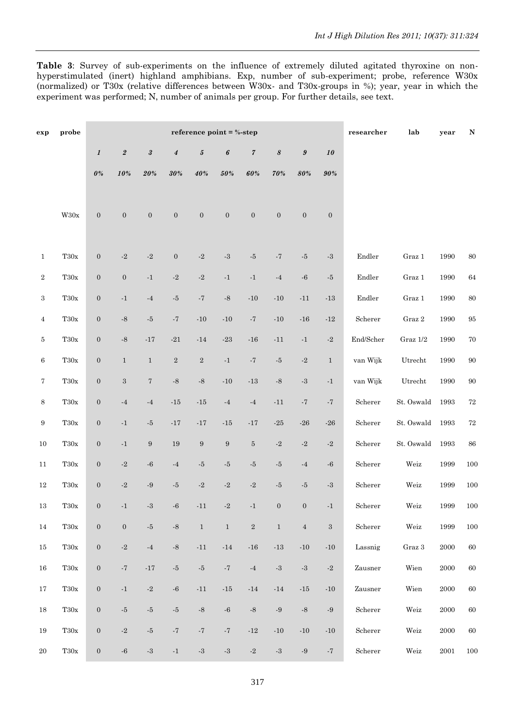**Table 3**: Survey of sub-experiments on the influence of extremely diluted agitated thyroxine on nonhyperstimulated (inert) highland amphibians. Exp, number of sub-experiment; probe, reference W30x (normalized) or T30x (relative differences between W30x- and T30x-groups in %); year, year in which the experiment was performed; N, number of animals per group. For further details, see text.

| exp              | probe              |                  |                    |                         |                         | reference point $=$ %-step |                  |                         |                            |                         |                  | $r$ esearcher   | lab                     | year     | N      |
|------------------|--------------------|------------------|--------------------|-------------------------|-------------------------|----------------------------|------------------|-------------------------|----------------------------|-------------------------|------------------|-----------------|-------------------------|----------|--------|
|                  |                    | $\boldsymbol{l}$ | $\it 2$            | $\sqrt{3}$              | $\pmb{4}$               | $\pmb{5}$                  | 6                | $\sqrt{7}$              | $\boldsymbol{\mathcal{S}}$ | $\pmb{9}$               | 10               |                 |                         |          |        |
|                  |                    | $0\%$            | $10%$              | $20\%$                  | $30\%$                  | $40\%$                     | $50\%$           | $60\%$                  | 70%                        | $80\%$                  | $90\%$           |                 |                         |          |        |
|                  |                    |                  |                    |                         |                         |                            |                  |                         |                            |                         |                  |                 |                         |          |        |
|                  | $\rm W30x$         | $\boldsymbol{0}$ | $\boldsymbol{0}$   | $\boldsymbol{0}$        | $\boldsymbol{0}$        | $\boldsymbol{0}$           | $\boldsymbol{0}$ | $\boldsymbol{0}$        | $\boldsymbol{0}$           | $\boldsymbol{0}$        | $\boldsymbol{0}$ |                 |                         |          |        |
|                  |                    |                  |                    |                         |                         |                            |                  |                         |                            |                         |                  |                 |                         |          |        |
| $\mathbf{1}$     | $\rm T30x$         | $\boldsymbol{0}$ | $-2$               | $\textbf{-}2$           | $\boldsymbol{0}$        | $\textbf{-}2$              | $\text{-}3$      | $-5$                    | $-7$                       | $-5$                    | $-3$             | Endler          | ${\rm Graz}~1$          | 1990     | $80\,$ |
| $\overline{2}$   | $\rm T30x$         | $\boldsymbol{0}$ | $\boldsymbol{0}$   | $-1$                    | $-2$                    | $\textbf{-}2$              | $^{\rm -1}$      | $-1$                    | $-4$                       | $\mbox{-}6$             | $\text{-}5$      | Endler          | Graz 1                  | 1990     | 64     |
| $\,3$            | $\rm T30x$         | $\boldsymbol{0}$ | $\cdot 1$          | $-4$                    | $-5$                    | $^{\circ}7$                | $\mbox{-}8$      | $-10$                   | $-10$                      | $-11$                   | $-13$            | Endler          | Graz 1                  | 1990     | $80\,$ |
| $\overline{4}$   | $\rm T30x$         | $\boldsymbol{0}$ | $\mbox{-}8$        | $-5\,$                  | $^{\circ}7$             | $-10$                      | $-10$            | $-7$                    | $\mbox{-}10$               | $\mbox{-}16$            | $\textbf{-12}$   | Scherer         | Graz 2                  | 1990     | $95\,$ |
| 5                | $\rm T30x$         | $\boldsymbol{0}$ | $\mbox{-}8$        | $-17$                   | $-21$                   | $-14$                      | $\mbox{-}23$     | $-16$                   | $-11$                      | $^{\rm -1}$             | $-2$             | End/Scher       | Graz 1/2                | 1990     | $70\,$ |
| 6                | $\rm T30x$         | $\boldsymbol{0}$ | $\mathbf{1}$       | $\mathbf{1}$            | $\,2$                   | $\,2$                      | $^{\rm -1}$      | $^{\circ}7$             | $-5$                       | $\textbf{-}2$           | $\mathbf{1}$     | van Wijk        | Utrecht                 | 1990     | $90\,$ |
| 7                | $\rm T30x$         | $\boldsymbol{0}$ | $\,3$              | $\overline{7}$          | $\mbox{-}8$             | $\mbox{-}8$                | $\mbox{-}10$     | $\textbf{-}13$          | $\mbox{-}8$                | $^{\circ}3$             | $\cdot 1$        | van Wijk        | Utrecht                 | 1990     | $90\,$ |
| 8                | $\rm T30x$         | $\boldsymbol{0}$ | $\textbf{-4}$      | $-4$                    | $-15$                   | $-15$                      | $-4$             | $^{\text{{\small -4}}}$ | $-11$                      | $-7$                    | $-7$             | Scherer         | St. Oswald              | 1993     | $72\,$ |
| $\boldsymbol{9}$ | $\rm T30x$         | $\boldsymbol{0}$ | $\cdot 1$          | $\text{-}5$             | $\textbf{-17}$          | $\textbf{-17}$             | $\textbf{-15}$   | $-17$                   | $\mbox{-}25$               | $-26$                   | $\mbox{-} 26$    | Scherer         | St. Oswald              | 1993     | $72\,$ |
| $10\,$           | $\rm T30x$         | $\boldsymbol{0}$ | $\cdot 1$          | $\,9$                   | 19                      | $\boldsymbol{9}$           | $\boldsymbol{9}$ | $\bf 5$                 | $\textbf{-}2$              | $^{\text{{\small -2}}}$ | $\textbf{-}2$    | Scherer         | St. Oswald              | 1993     | $86\,$ |
| 11               | $\rm T30x$         | $\boldsymbol{0}$ | $\textbf{-}2$      | $\mbox{-}6$             | $^{\text{{\small -4}}}$ | $\text{-}5$                | $-5$             | $-5$                    | $-5$                       | $-4$                    | $\textbf{-6}$    | Scherer         | Weiz                    | 1999     | 100    |
| $12\,$           | $\rm T30x$         | $\boldsymbol{0}$ | $\textbf{-}2$      | $\textbf{-}9$           | $-5$                    | $\textbf{-}2$              | $-2$             | $\textbf{-}2$           | $-5$                       | $-5$                    | $\textbf{-3}$    | Scherer         | Weiz                    | 1999     | 100    |
| 13               | $_{\mathrm{T30x}}$ | $\boldsymbol{0}$ | $\cdot 1$          | $\textbf{-3}$           | $\cdot 6$               | $-11$                      | $-2$             | $-1$                    | $\boldsymbol{0}$           | $\boldsymbol{0}$        | $^{\rm -1}$      | Scherer         | Weiz                    | 1999     | 100    |
| 14               | $\rm T30x$         | $\boldsymbol{0}$ | $\boldsymbol{0}$   | $\text{-}5$             | $\mbox{-}8$             | $\mathbf{1}$               | $\mathbf{1}$     | $\,2$                   | $\,1\,$                    | $\,4$                   | $\sqrt{3}$       | Scherer         | Weiz                    | 1999     | 100    |
| 15               | $\rm T30x$         | $\boldsymbol{0}$ | $\textbf{-}2$      | $^{\text{{\small -4}}}$ | $\mbox{-}8$             | $-11$                      | $\textbf{-}14$   | $\mbox{-}16$            | $\textbf{-}13$             | $\mbox{-}10$            | $\mbox{-} 10$    | Lassnig         | $\operatorname{Graz}$ 3 | $2000\,$ | $60\,$ |
| 16               | $\rm T30x$         | $\boldsymbol{0}$ | $^{\circ}7$        | $\textbf{-17}$          | $\text{-}5$             | $\textnormal{-}5$          | $^{\circ}7$      | $-4$                    | $\text{-}3$                | $\mbox{-}3$             | $\textbf{-}2$    | Zausner         | Wien                    | 2000     | $60\,$ |
| 17               | $\rm T30x$         | $\boldsymbol{0}$ | $^{\rm \text{-}1}$ | $\textbf{-}2$           | $\mbox{-}6$             | $-11$                      | $\textbf{-15}$   | $-14$                   | $-14$                      | $\textbf{-15}$          | $\mbox{-}10$     | Zausner         | Wien                    | $2000\,$ | 60     |
| 18               | $\rm T30x$         | $\boldsymbol{0}$ | $\text{-}5$        | $-5$                    | $\text{-}5$             | $\text{-}8$                | $\mbox{-}6$      | $\mbox{-}8$             | $\textbf{-}9$              | $-8$                    | $\textbf{-}9$    | Scherer         | $\rm{Weiz}$             | $2000\,$ | 60     |
| 19               | $\rm T30x$         | $\boldsymbol{0}$ | $\textbf{-}2$      | $\mbox{-}5$             | $^{\circ}7$             | $^{\circ}7$                | $^{\circ}7$      | $\textbf{-12}$          | $-10$                      | $\mbox{-}10$            | $\mbox{-}10$     | Scherer         | Weiz                    | $2000\,$ | 60     |
| $20\,$           | $\rm T30x$         | $\boldsymbol{0}$ | $^{\circ}6$        | $\mbox{-}3$             | $^{\rm \text{-1}}$      | $\mbox{-}3$                | $\mbox{-}3$      | $\textbf{-}2$           | $\textbf{-3}$              | $\textbf{-}9$           | $^{\circ}7$      | ${\bf Scherer}$ | Weiz                    | $2001\,$ | 100    |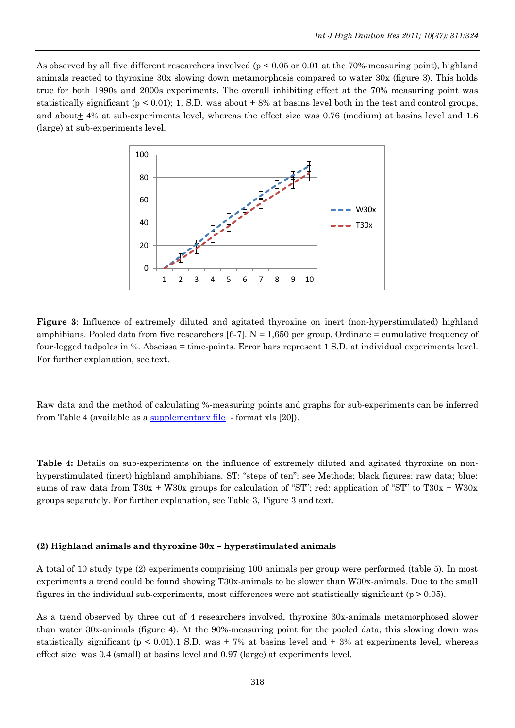As observed by all five different researchers involved (p < 0.05 or 0.01 at the 70%-measuring point), highland animals reacted to thyroxine 30x slowing down metamorphosis compared to water 30x (figure 3). This holds true for both 1990s and 2000s experiments. The overall inhibiting effect at the 70% measuring point was statistically significant ( $p < 0.01$ ); 1. S.D. was about  $\pm$  8% at basins level both in the test and control groups, and about  $\pm$  4% at sub-experiments level, whereas the effect size was 0.76 (medium) at basins level and 1.6 (large) at sub-experiments level.



**Figure 3**: Influence of extremely diluted and agitated thyroxine on inert (non-hyperstimulated) highland amphibians. Pooled data from five researchers [6-7].  $N = 1,650$  per group. Ordinate = cumulative frequency of four-legged tadpoles in %. Abscissa = time-points. Error bars represent 1 S.D. at individual experiments level. For further explanation, see text.

Raw data and the method of calculating %-measuring points and graphs for sub-experiments can be inferred from Table 4 (available as [a supplementary file](http://www.feg.unesp.br/~ojs/index.php/ijhdr/article/view/429/540) - format xls [20]).

**Table 4:** Details on sub-experiments on the influence of extremely diluted and agitated thyroxine on nonhyperstimulated (inert) highland amphibians. ST: "steps of ten": see Methods; black figures: raw data; blue: sums of raw data from  $T30x + W30x$  groups for calculation of "ST"; red: application of "ST" to  $T30x + W30x$ groups separately. For further explanation, see Table 3, Figure 3 and text.

#### **(2) Highland animals and thyroxine 30x – hyperstimulated animals**

A total of 10 study type (2) experiments comprising 100 animals per group were performed (table 5). In most experiments a trend could be found showing T30x-animals to be slower than W30x-animals. Due to the small figures in the individual sub-experiments, most differences were not statistically significant ( $p > 0.05$ ).

As a trend observed by three out of 4 researchers involved, thyroxine 30x-animals metamorphosed slower than water 30x-animals (figure 4). At the 90%-measuring point for the pooled data, this slowing down was statistically significant ( $p < 0.01$ ).1 S.D. was  $\pm 7\%$  at basins level and  $\pm 3\%$  at experiments level, whereas effect size was 0.4 (small) at basins level and 0.97 (large) at experiments level.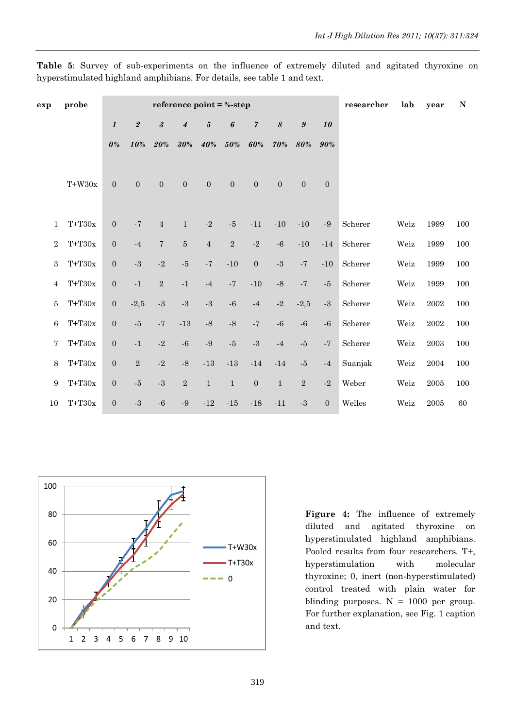| $\mathbf N$ | year       | lab  | researcher |                |               |                       |                  | reference point = $% -step$ |                |                  | probe            | exp                        |                  |          |                 |
|-------------|------------|------|------------|----------------|---------------|-----------------------|------------------|-----------------------------|----------------|------------------|------------------|----------------------------|------------------|----------|-----------------|
|             |            |      |            | 10             | $\pmb{9}$     | $\boldsymbol{\delta}$ | $\boldsymbol{7}$ | 6                           | $\pmb{5}$      | $\boldsymbol{4}$ | $\boldsymbol{3}$ | $\sqrt{2}$                 | $\boldsymbol{l}$ |          |                 |
|             |            |      |            | 90%            | 80%           | 70%                   | 60%              | 50%                         | 40%            | 30%              | 20%              | 10%                        | 0%               |          |                 |
|             |            |      |            |                |               |                       |                  |                             |                |                  |                  |                            |                  |          |                 |
|             |            |      |            | $\overline{0}$ | $\mathbf{0}$  | $\overline{0}$        | $\overline{0}$   | $\overline{0}$              | $\overline{0}$ | $\overline{0}$   | $\mathbf{0}$     | $\overline{0}$             | $\overline{0}$   | $T+W30x$ |                 |
|             |            |      |            |                |               |                       |                  |                             |                |                  |                  |                            |                  |          |                 |
| 100         | 1999       | Weiz | Scherer    | $\textbf{-}9$  | $-10$         | $-10$                 | $-11$            | $\text{-}5$                 | $-2$           | $\,1\,$          | $\sqrt{4}$       | $\overline{\phantom{a}}$ 7 | $\boldsymbol{0}$ | $T+T30x$ | 1               |
| 100         | 1999       | Weiz | Scherer    | $-14$          | $-10$         | $\textbf{-}6$         | $\textbf{-}2$    | $\sqrt{2}$                  | $\sqrt{4}$     | $\bf 5$          | $\sqrt{ }$       | $-4$                       | $\boldsymbol{0}$ | $T+T30x$ | $\sqrt{2}$      |
| 100         | 1999       | Weiz | Scherer    | $-10$          | $\mathbf{-7}$ | $\cdot 3$             | $\overline{0}$   | $-10$                       | $-7$           | $-5$             | $-2$             | $-3$                       | $\overline{0}$   | $T+T30x$ | 3               |
| 100         | 1999       | Weiz | Scherer    | $-5$           | $\mathbf{-}7$ | $\text{-}8$           | $-10$            | $-7$                        | $-4$           | $-1$             | $\sqrt{2}$       | $-1$                       | $\overline{0}$   | $T+T30x$ | 4               |
| 100         | 2002       | Weiz | Scherer    | $\mbox{-}3$    | $-2,5$        | $\textbf{-}2$         | $-4$             | $-6$                        | $-3$           | $-3$             | $-3$             | $-2,5$                     | $\overline{0}$   | $T+T30x$ | 5               |
| 100         | 2002       | Weiz | Scherer    | $-6$           | $-6$          | $\mbox{-} 6$          | $\mathbf{-7}$    | $-8$                        | $-8$           | $-13$            | $-7$             | $\text{-}5$                | $\mathbf{0}$     | $T+T30x$ | 6               |
| 100         | 2003       | Weiz | Scherer    | $\mathbf{-}7$  | $\text{-}5$   | $\textbf{-4}$         | $\mbox{-}3$      | $\text{-}5$                 | $\textbf{-}9$  | $-6$             | $-2$             | $-1$                       | $\overline{0}$   | $T+T30x$ | 7               |
| $100\,$     | $\,2004\,$ | Weiz | Suanjak    | $-4$           | $\text{-}5$   | $-14$                 | $-14$            | $-13$                       | $-13$          | $-8$             | $-2$             | $\overline{2}$             | $\overline{0}$   | $T+T30x$ | 8               |
| 100         | 2005       | Weiz | Weber      | $\textbf{-}2$  | $\sqrt{2}$    | $1\,$                 | $\boldsymbol{0}$ | $1\,$                       | $\,1\,$        | $\overline{2}$   | $-3$             | $-5$                       | $\overline{0}$   | $T+T30x$ | $9\phantom{.0}$ |
| 60          | 2005       | Weiz | Welles     | $\mathbf{0}$   | $\mbox{-}3$   | $-11$                 | $-18$            | $-15$                       | $\textbf{-12}$ | $-9$             | $-6$             | $-3$                       | $\overline{0}$   | $T+T30x$ | 10              |
|             |            |      |            |                |               |                       |                  |                             |                |                  |                  |                            |                  |          |                 |

**Table 5**: Survey of sub-experiments on the influence of extremely diluted and agitated thyroxine on hyperstimulated highland amphibians. For details, see table 1 and text.



**Figure 4:** The influence of extremely diluted and agitated thyroxine on hyperstimulated highland amphibians. Pooled results from four researchers. T+, hyperstimulation with molecular thyroxine; 0, inert (non-hyperstimulated) control treated with plain water for blinding purposes.  $N = 1000$  per group. For further explanation, see Fig. 1 caption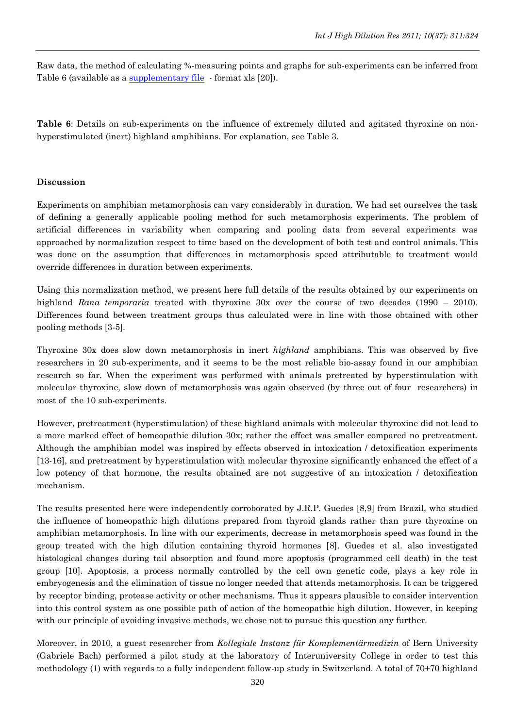Raw data, the method of calculating %-measuring points and graphs for sub-experiments can be inferred from Table 6 (available as a [supplementary file](http://www.feg.unesp.br/~ojs/index.php/ijhdr/article/view/429/540) format xls [20]).

**Table 6**: Details on sub-experiments on the influence of extremely diluted and agitated thyroxine on nonhyperstimulated (inert) highland amphibians. For explanation, see Table 3.

### **Discussion**

Experiments on amphibian metamorphosis can vary considerably in duration. We had set ourselves the task of defining a generally applicable pooling method for such metamorphosis experiments. The problem of artificial differences in variability when comparing and pooling data from several experiments was approached by normalization respect to time based on the development of both test and control animals. This was done on the assumption that differences in metamorphosis speed attributable to treatment would override differences in duration between experiments.

Using this normalization method, we present here full details of the results obtained by our experiments on highland *Rana temporaria* treated with thyroxine 30x over the course of two decades (1990 – 2010). Differences found between treatment groups thus calculated were in line with those obtained with other pooling methods [3-5].

Thyroxine 30x does slow down metamorphosis in inert *highland* amphibians. This was observed by five researchers in 20 sub-experiments, and it seems to be the most reliable bio-assay found in our amphibian research so far. When the experiment was performed with animals pretreated by hyperstimulation with molecular thyroxine, slow down of metamorphosis was again observed (by three out of four researchers) in most of the 10 sub-experiments.

However, pretreatment (hyperstimulation) of these highland animals with molecular thyroxine did not lead to a more marked effect of homeopathic dilution 30x; rather the effect was smaller compared no pretreatment. Although the amphibian model was inspired by effects observed in intoxication / detoxification experiments [13-16], and pretreatment by hyperstimulation with molecular thyroxine significantly enhanced the effect of a low potency of that hormone, the results obtained are not suggestive of an intoxication / detoxification mechanism.

The results presented here were independently corroborated by J.R.P. Guedes [8,9] from Brazil, who studied the influence of homeopathic high dilutions prepared from thyroid glands rather than pure thyroxine on amphibian metamorphosis. In line with our experiments, decrease in metamorphosis speed was found in the group treated with the high dilution containing thyroid hormones [8]. Guedes et al. also investigated histological changes during tail absorption and found more apoptosis (programmed cell death) in the test group [10]. Apoptosis, a process normally controlled by the cell own genetic code, plays a key role in embryogenesis and the elimination of tissue no longer needed that attends metamorphosis. It can be triggered by receptor binding, protease activity or other mechanisms. Thus it appears plausible to consider intervention into this control system as one possible path of action of the homeopathic high dilution. However, in keeping with our principle of avoiding invasive methods, we chose not to pursue this question any further.

Moreover, in 2010, a guest researcher from *Kollegiale Instanz für Komplementärmedizin* of Bern University (Gabriele Bach) performed a pilot study at the laboratory of Interuniversity College in order to test this methodology (1) with regards to a fully independent follow-up study in Switzerland. A total of 70+70 highland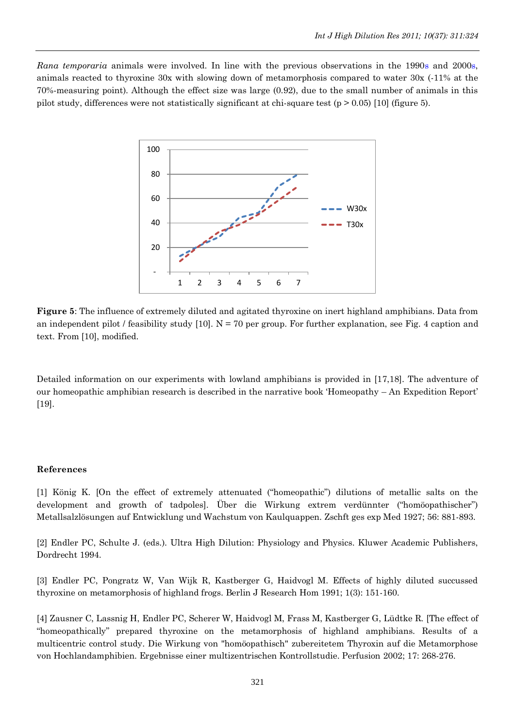*Rana temporaria* animals were involved. In line with the previous observations in the 1990s and 2000s, animals reacted to thyroxine 30x with slowing down of metamorphosis compared to water 30x (-11% at the 70%-measuring point). Although the effect size was large (0.92), due to the small number of animals in this pilot study, differences were not statistically significant at chi-square test (p  $> 0.05$ ) [10] (figure 5).



**Figure 5**: The influence of extremely diluted and agitated thyroxine on inert highland amphibians. Data from an independent pilot / feasibility study [10].  $N = 70$  per group. For further explanation, see Fig. 4 caption and text. From [10], modified.

Detailed information on our experiments with lowland amphibians is provided in [17,18]. The adventure of our homeopathic amphibian research is described in the narrative book "Homeopathy – An Expedition Report" [19].

### **References**

[1] König K. [On the effect of extremely attenuated ("homeopathic") dilutions of metallic salts on the development and growth of tadpoles]. Über die Wirkung extrem verdünnter ("homöopathischer") Metallsalzlösungen auf Entwicklung und Wachstum von Kaulquappen. Zschft ges exp Med 1927; 56: 881-893.

[2] Endler PC, Schulte J. (eds.). Ultra High Dilution: Physiology and Physics. Kluwer Academic Publishers, Dordrecht 1994.

[3] Endler PC, Pongratz W, Van Wijk R, Kastberger G, Haidvogl M. Effects of highly diluted succussed thyroxine on metamorphosis of highland frogs. Berlin J Research Hom 1991; 1(3): 151-160.

[4] Zausner C, Lassnig H, Endler PC, Scherer W, Haidvogl M, Frass M, Kastberger G, Lüdtke R. [The effect of "homeopathically" prepared thyroxine on the metamorphosis of highland amphibians. Results of a multicentric control study. Die Wirkung von "homöopathisch" zubereitetem Thyroxin auf die Metamorphose von Hochlandamphibien. Ergebnisse einer multizentrischen Kontrollstudie. Perfusion 2002; 17: 268-276.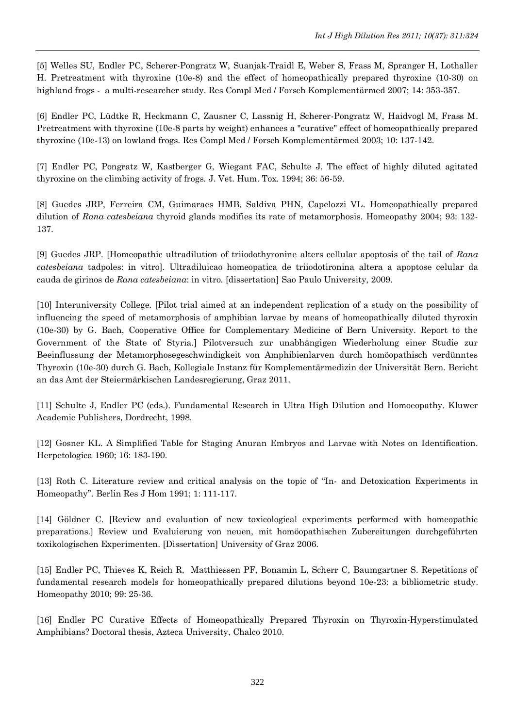[5] Welles SU, Endler PC, Scherer-Pongratz W, Suanjak-Traidl E, Weber S, Frass M, Spranger H, Lothaller H. [Pretreatment with thyroxine \(10e-8\) and the effect of homeopathically prepared thyroxine \(10-30\) on](http://www.inter-uni.net/forschung/downloads/komplementaer/a_2006_Welles_et_al_sub_TSWJ_does_pretreatment.pdf)  [highland frogs - a multi-researcher study.](http://www.inter-uni.net/forschung/downloads/komplementaer/a_2006_Welles_et_al_sub_TSWJ_does_pretreatment.pdf) Res Compl Med / Forsch Komplementärmed 2007; 14: 353-357.

[6] Endler PC, Lüdtke R, Heckmann C, Zausner C, Lassnig H, Scherer-Pongratz W, Haidvogl M, Frass M. Pretreatment with thyroxine (10e-8 parts by weight) enhances a "curative" effect of homeopathically prepared thyroxine (10e-13) on lowland frogs. Res Compl Med / Forsch Komplementärmed 2003; 10: 137-142.

[7] Endler PC, Pongratz W, Kastberger G, Wiegant FAC, Schulte J. The effect of highly diluted agitated thyroxine on the climbing activity of frogs. J. Vet. Hum. Tox. 1994; 36: 56-59.

[8] Guedes JRP, Ferreira CM, Guimaraes HMB, Saldiva PHN, Capelozzi VL. Homeopathically prepared dilution of *Rana catesbeiana* thyroid glands modifies its rate of metamorphosis. Homeopathy 2004; 93: 132- 137.

[9] Guedes JRP. [Homeopathic ultradilution of triiodothyronine alters cellular apoptosis of the tail of *Rana catesbeiana* tadpoles: in vitro]. Ultradiluicao homeopatica de triiodotironina altera a apoptose celular da cauda de girinos de *Rana catesbeiana*: in vitro. [dissertation] Sao Paulo University, 2009.

[10] Interuniversity College. [Pilot trial aimed at an independent replication of a study on the possibility of influencing the speed of metamorphosis of amphibian larvae by means of homeopathically diluted thyroxin (10e-30) by G. Bach, Cooperative Office for Complementary Medicine of Bern University. Report to the Government of the State of Styria.] Pilotversuch zur unabhängigen Wiederholung einer Studie zur Beeinflussung der Metamorphosegeschwindigkeit von Amphibienlarven durch homöopathisch verdünntes Thyroxin (10e-30) durch G. Bach, Kollegiale Instanz für Komplementärmedizin der Universität Bern. Bericht an das Amt der Steiermärkischen Landesregierung, Graz 2011.

[11] Schulte J, Endler PC (eds.). Fundamental Research in Ultra High Dilution and Homoeopathy. Kluwer Academic Publishers, Dordrecht, 1998.

[12] Gosner KL. A Simplified Table for Staging Anuran Embryos and Larvae with Notes on Identification. Herpetologica 1960; 16: 183-190.

[13] Roth C. Literature review and critical analysis on the topic of "In- and Detoxication Experiments in Homeopathy". Berlin Res J Hom 1991; 1: 111-117.

[14] Göldner C. [Review and evaluation of new toxicological experiments performed with homeopathic preparations.] Review und Evaluierung von neuen, mit homöopathischen Zubereitungen durchgeführten toxikologischen Experimenten. [Dissertation] University of Graz 2006.

[15] Endler PC, Thieves K, Reich R, Matthiessen PF, Bonamin L, Scherr C, Baumgartner S. Repetitions of fundamental research models for homeopathically prepared dilutions beyond 10e-23: a bibliometric study. Homeopathy 2010; 99: 25-36.

[16] Endler PC Curative Effects of Homeopathically Prepared Thyroxin on Thyroxin-Hyperstimulated Amphibians? Doctoral thesis, Azteca University, Chalco 2010.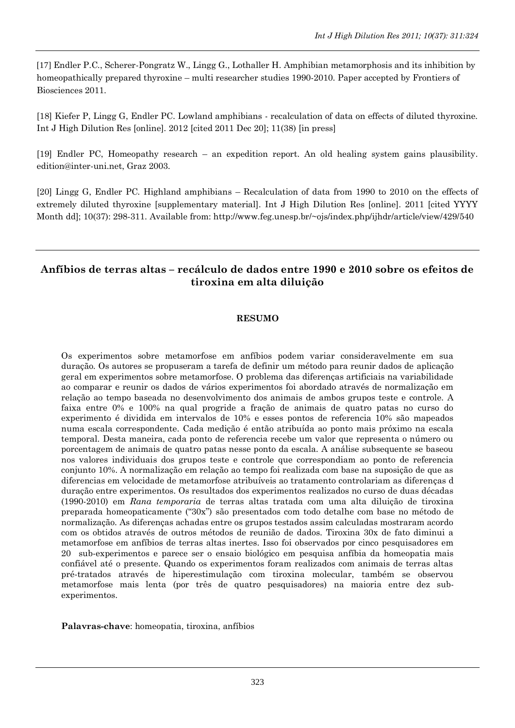[17] Endler P.C., Scherer-Pongratz W., Lingg G., Lothaller H. Amphibian metamorphosis and its inhibition by homeopathically prepared thyroxine – multi researcher studies 1990-2010. Paper accepted by Frontiers of Biosciences 2011.

[18] Kiefer P, Lingg G, Endler PC. Lowland amphibians - recalculation of data on effects of diluted thyroxine. Int J High Dilution Res [online]. 2012 [cited 2011 Dec 20]; 11(38) [in press]

[19] Endler PC, Homeopathy research – an expedition report. An old healing system gains plausibility. edition@inter-uni.net, Graz 2003.

[20] Lingg G, Endler PC. Highland amphibians – Recalculation of data from 1990 to 2010 on the effects of extremely diluted thyroxine [supplementary material]. Int J High Dilution Res [online]. 2011 [cited YYYY Month dd]; 10(37): 298-311. Available from: http://www.feg.unesp.br/~ojs/index.php/ijhdr/article/view/429/540

# **Anfíbios de terras altas – recálculo de dados entre 1990 e 2010 sobre os efeitos de tiroxina em alta diluição**

### **RESUMO**

Os experimentos sobre metamorfose em anfíbios podem variar consideravelmente em sua duração. Os autores se propuseram a tarefa de definir um método para reunir dados de aplicação geral em experimentos sobre metamorfose. O problema das diferenças artificiais na variabilidade ao comparar e reunir os dados de vários experimentos foi abordado através de normalização em relação ao tempo baseada no desenvolvimento dos animais de ambos grupos teste e controle. A faixa entre 0% e 100% na qual progride a fração de animais de quatro patas no curso do experimento é dividida em intervalos de 10% e esses pontos de referencia 10% são mapeados numa escala correspondente. Cada medição é então atribuída ao ponto mais próximo na escala temporal. Desta maneira, cada ponto de referencia recebe um valor que representa o número ou porcentagem de animais de quatro patas nesse ponto da escala. A análise subsequente se baseou nos valores individuais dos grupos teste e controle que correspondiam ao ponto de referencia conjunto 10%. A normalização em relação ao tempo foi realizada com base na suposição de que as diferencias em velocidade de metamorfose atribuíveis ao tratamento controlariam as diferenças d duração entre experimentos. Os resultados dos experimentos realizados no curso de duas décadas (1990-2010) em *Rana temporaria* de terras altas tratada com uma alta diluição de tiroxina preparada homeopaticamente ("30x") são presentados com todo detalhe com base no método de normalização. As diferenças achadas entre os grupos testados assim calculadas mostraram acordo com os obtidos através de outros métodos de reunião de dados. Tiroxina 30x de fato diminui a metamorfose em anfíbios de terras altas inertes. Isso foi observados por cinco pesquisadores em 20 sub-experimentos e parece ser o ensaio biológico em pesquisa anfíbia da homeopatia mais confiável até o presente. Quando os experimentos foram realizados com animais de terras altas pré-tratados através de hiperestimulação com tiroxina molecular, também se observou metamorfose mais lenta (por três de quatro pesquisadores) na maioria entre dez subexperimentos.

**Palavras-chave**: homeopatia, tiroxina, anfíbios